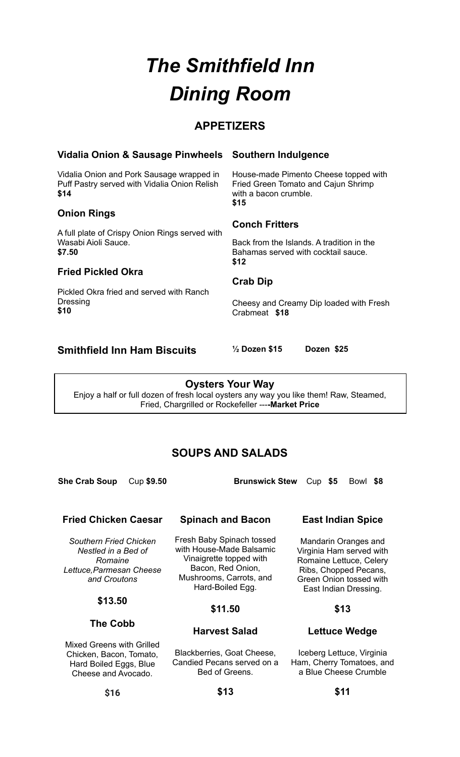# *The Smithfield Inn Dining Room*

# **APPETIZERS**

#### **Vidalia Onion & Sausage Pinwheels**

Vidalia Onion and Pork Sausage wrapped in Puff Pastry served with Vidalia Onion Relish **\$14**

#### **Onion Rings**

A full plate of Crispy Onion Rings served with Wasabi Aioli Sauce. **\$7.50**

#### **Fried Pickled Okra**

Pickled Okra fried and served with Ranch Dressing **\$10**

## **Southern Indulgence**

House-made Pimento Cheese topped with Fried Green Tomato and Cajun Shrimp with a bacon crumble. **\$15**

#### **Conch Fritters**

Back from the Islands. A tradition in the Bahamas served with cocktail sauce. **\$12**

#### **Crab Dip**

Cheesy and Creamy Dip loaded with Fresh Crabmeat **\$18**

# **Smithfield Inn Ham Biscuits ½ Dozen \$15 Dozen \$25**

**Oysters Your Way** Enjoy a half or full dozen of fresh local oysters any way you like them! Raw, Steamed, Fried, Chargrilled or Rockefeller ---**-Market Price**

# **SOUPS AND SALADS**

**She Crab Soup** Cup **\$9.50 Brunswick Stew** Cup **\$5** Bowl **\$8**

# **Fried Chicken Caesar**

*Southern Fried Chicken Nestled in a Bed of Romaine Lettuce,Parmesan Cheese and Croutons*

#### **\$13.50**

**The Cobb**

Mixed Greens with Grilled Chicken, Bacon, Tomato, Hard Boiled Eggs, Blue Cheese and Avocado.

#### **Spinach and Bacon**

Fresh Baby Spinach tossed with House-Made Balsamic Vinaigrette topped with Bacon, Red Onion, Mushrooms, Carrots, and Hard-Boiled Egg.

#### **\$11.50**

#### **Harvest Salad**

Blackberries, Goat Cheese, Candied Pecans served on a Bed of Greens.

**East Indian Spice**

Mandarin Oranges and Virginia Ham served with Romaine Lettuce, Celery Ribs, Chopped Pecans, Green Onion tossed with East Indian Dressing.

#### **\$13**

#### **Lettuce Wedge**

Iceberg Lettuce, Virginia Ham, Cherry Tomatoes, and a Blue Cheese Crumble

**\$13**